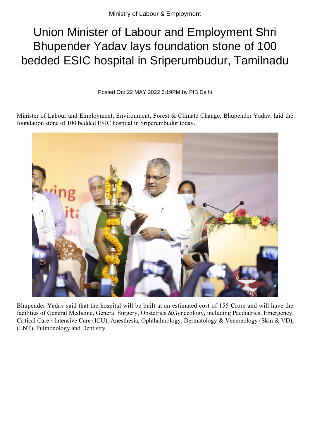## Union Minister of Labour and Employment Shri Bhupender Yadav lays foundation stone of 100 bedded ESIC hospital in Sriperumbudur, Tamilnadu

Posted On: 22 MAY 2022 6:19PM by PIB Delhi

Minister of Labour and Employment, Environment, Forest & Climate Change, Bhupender Yadav, laid the foundation stone of 100 bedded ESIC hospital in Sriperumbudur today.



Bhupender Yadav said that the hospital will be built at an estimated cost of 155 Crore and will have the facilities of General Medicine, General Surgery, Obstetrics &Gynecology, including Paediatrics, Emergency, Critical Care / Intensive Care (ICU), Anesthesia, Ophthalmology, Dermatology & Venereology (Skin & VD), (ENT), Pulmonology and Dentistry.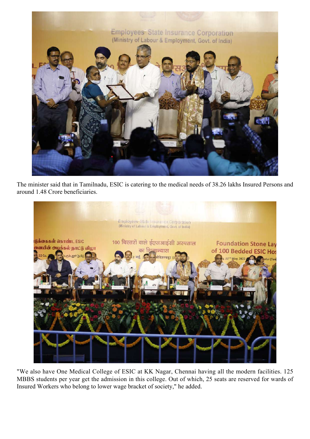

The minister said that in Tamilnadu, ESIC is catering to the medical needs of 38.26 lakhs Insured Persons and around 1.48 Crore beneficiaries.



"We also have One Medical College of ESIC at KK Nagar, Chennai having all the modern facilities. 125 MBBS students per year get the admission in this college. Out of which, 25 seats are reserved for wards of Insured Workers who belong to lower wage bracket of society," he added.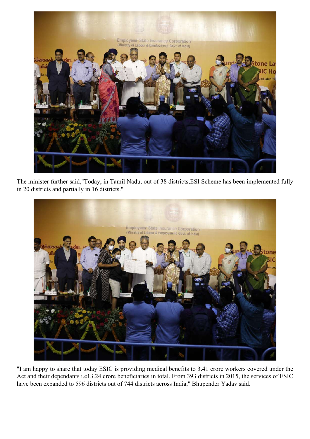

The minister further said,"Today, in Tamil Nadu, out of 38 districts,ESI Scheme has been implemented fully in 20 districts and partially in 16 districts."



"I am happy to share that today ESIC is providing medical benefits to 3.41 crore workers covered under the Act and their dependants i.e13.24 crore beneficiaries in total. From 393 districts in 2015, the services of ESIC have been expanded to 596 districts out of 744 districts across India," Bhupender Yadav said.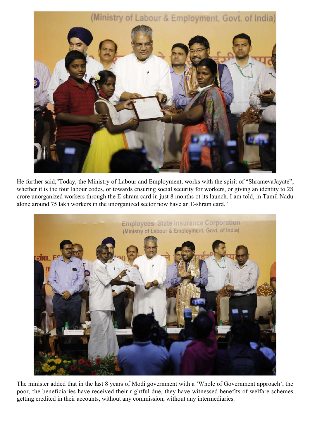

He further said,"Today, the Ministry of Labour and Employment, works with the spirit of "ShramevaJayate", whether it is the four labour codes, or towards ensuring social security for workers, or giving an identity to 28 crore unorganized workers through the E-shram card in just 8 months ot its launch. I am told, in Tamil Nadu alone around 75 lakh workers in the unorganized sector now have an E-shram card."



The minister added that in the last 8 years of Modi government with a 'Whole of Government approach', the poor, the beneficiaries have received their rightful due, they have witnessed benefits of welfare schemes getting credited in their accounts, without any commission, without any intermediaries.